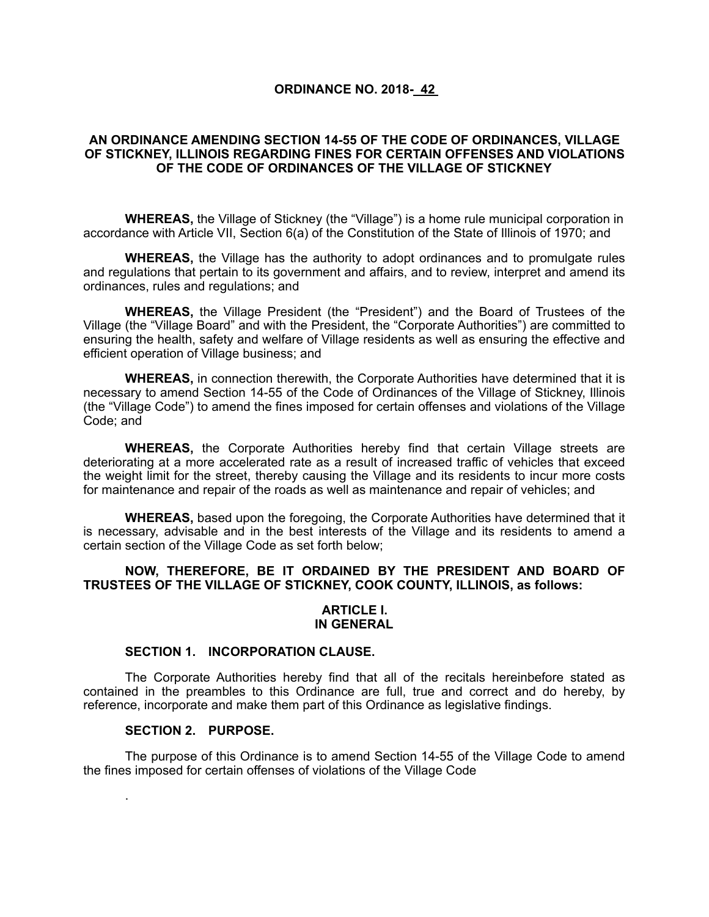#### **ORDINANCE NO. 2018- 42**

### **AN ORDINANCE AMENDING SECTION 14-55 OF THE CODE OF ORDINANCES, VILLAGE OF STICKNEY, ILLINOIS REGARDING FINES FOR CERTAIN OFFENSES AND VIOLATIONS OF THE CODE OF ORDINANCES OF THE VILLAGE OF STICKNEY**

**WHEREAS,** the Village of Stickney (the "Village") is a home rule municipal corporation in accordance with Article VII, Section 6(a) of the Constitution of the State of Illinois of 1970; and

**WHEREAS,** the Village has the authority to adopt ordinances and to promulgate rules and regulations that pertain to its government and affairs, and to review, interpret and amend its ordinances, rules and regulations; and

**WHEREAS,** the Village President (the "President") and the Board of Trustees of the Village (the "Village Board" and with the President, the "Corporate Authorities") are committed to ensuring the health, safety and welfare of Village residents as well as ensuring the effective and efficient operation of Village business; and

**WHEREAS,** in connection therewith, the Corporate Authorities have determined that it is necessary to amend Section 14-55 of the Code of Ordinances of the Village of Stickney, Illinois (the "Village Code") to amend the fines imposed for certain offenses and violations of the Village Code; and

**WHEREAS,** the Corporate Authorities hereby find that certain Village streets are deteriorating at a more accelerated rate as a result of increased traffic of vehicles that exceed the weight limit for the street, thereby causing the Village and its residents to incur more costs for maintenance and repair of the roads as well as maintenance and repair of vehicles; and

**WHEREAS,** based upon the foregoing, the Corporate Authorities have determined that it is necessary, advisable and in the best interests of the Village and its residents to amend a certain section of the Village Code as set forth below;

### **NOW, THEREFORE, BE IT ORDAINED BY THE PRESIDENT AND BOARD OF TRUSTEES OF THE VILLAGE OF STICKNEY, COOK COUNTY, ILLINOIS, as follows:**

#### **ARTICLE I. IN GENERAL**

#### **SECTION 1. INCORPORATION CLAUSE.**

The Corporate Authorities hereby find that all of the recitals hereinbefore stated as contained in the preambles to this Ordinance are full, true and correct and do hereby, by reference, incorporate and make them part of this Ordinance as legislative findings.

#### **SECTION 2. PURPOSE.**

.

The purpose of this Ordinance is to amend Section 14-55 of the Village Code to amend the fines imposed for certain offenses of violations of the Village Code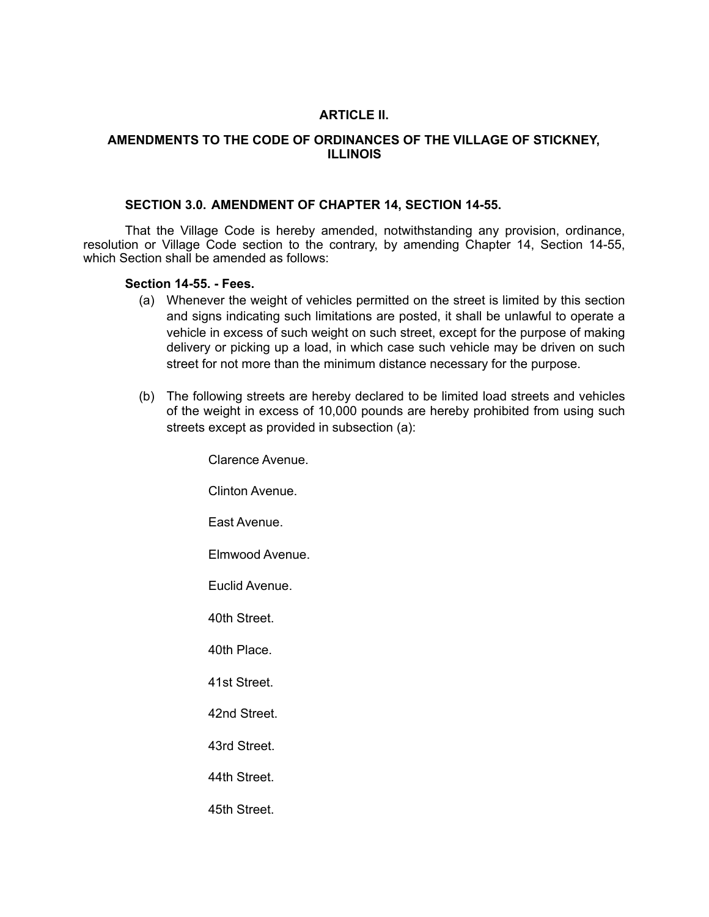# **ARTICLE II.**

## **AMENDMENTS TO THE CODE OF ORDINANCES OF THE VILLAGE OF STICKNEY, ILLINOIS**

### **SECTION 3.0. AMENDMENT OF CHAPTER 14, SECTION 14-55.**

That the Village Code is hereby amended, notwithstanding any provision, ordinance, resolution or Village Code section to the contrary, by amending Chapter 14, Section 14-55, which Section shall be amended as follows:

### **Section 14-55. - Fees.**

- (a) Whenever the weight of vehicles permitted on the street is limited by this section and signs indicating such limitations are posted, it shall be unlawful to operate a vehicle in excess of such weight on such street, except for the purpose of making delivery or picking up a load, in which case such vehicle may be driven on such street for not more than the minimum distance necessary for the purpose.
- (b) The following streets are hereby declared to be limited load streets and vehicles of the weight in excess of 10,000 pounds are hereby prohibited from using such streets except as provided in subsection (a):

Clarence Avenue. Clinton Avenue. East Avenue. Elmwood Avenue. Euclid Avenue. 40th Street. 40th Place. 41st Street. 42nd Street. 43rd Street. 44th Street. 45th Street.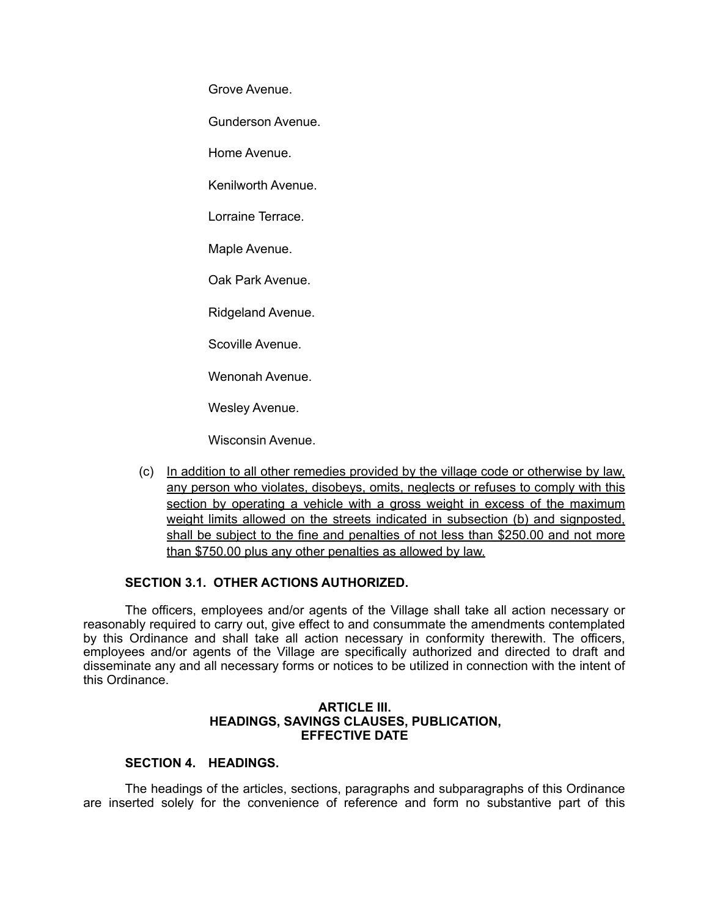Grove Avenue.

Gunderson Avenue.

Home Avenue.

Kenilworth Avenue.

Lorraine Terrace.

Maple Avenue.

Oak Park Avenue.

Ridgeland Avenue.

Scoville Avenue.

Wenonah Avenue.

Wesley Avenue.

Wisconsin Avenue.

(c) In addition to all other remedies provided by the village code or otherwise by law, any person who violates, disobeys, omits, neglects or refuses to comply with this section by operating a vehicle with a gross weight in excess of the maximum weight limits allowed on the streets indicated in subsection (b) and signposted, shall be subject to the fine and penalties of not less than \$250.00 and not more than \$750.00 plus any other penalties as allowed by law.

### **SECTION 3.1. OTHER ACTIONS AUTHORIZED.**

The officers, employees and/or agents of the Village shall take all action necessary or reasonably required to carry out, give effect to and consummate the amendments contemplated by this Ordinance and shall take all action necessary in conformity therewith. The officers, employees and/or agents of the Village are specifically authorized and directed to draft and disseminate any and all necessary forms or notices to be utilized in connection with the intent of this Ordinance.

#### **ARTICLE III. HEADINGS, SAVINGS CLAUSES, PUBLICATION, EFFECTIVE DATE**

## **SECTION 4. HEADINGS.**

The headings of the articles, sections, paragraphs and subparagraphs of this Ordinance are inserted solely for the convenience of reference and form no substantive part of this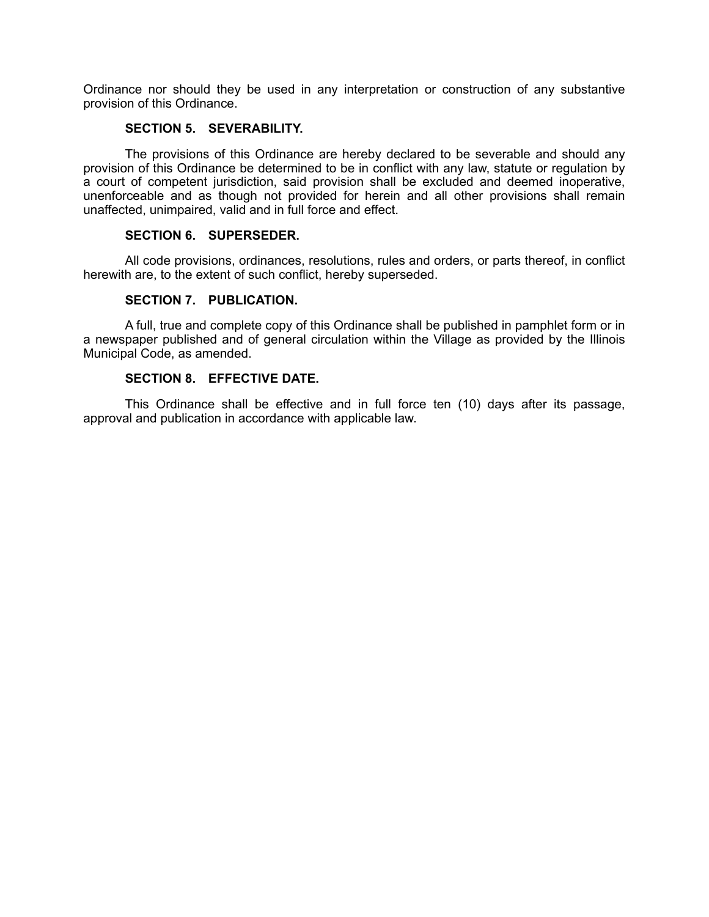Ordinance nor should they be used in any interpretation or construction of any substantive provision of this Ordinance.

## **SECTION 5. SEVERABILITY.**

The provisions of this Ordinance are hereby declared to be severable and should any provision of this Ordinance be determined to be in conflict with any law, statute or regulation by a court of competent jurisdiction, said provision shall be excluded and deemed inoperative, unenforceable and as though not provided for herein and all other provisions shall remain unaffected, unimpaired, valid and in full force and effect.

#### **SECTION 6. SUPERSEDER.**

All code provisions, ordinances, resolutions, rules and orders, or parts thereof, in conflict herewith are, to the extent of such conflict, hereby superseded.

## **SECTION 7. PUBLICATION.**

A full, true and complete copy of this Ordinance shall be published in pamphlet form or in a newspaper published and of general circulation within the Village as provided by the Illinois Municipal Code, as amended.

# **SECTION 8. EFFECTIVE DATE.**

This Ordinance shall be effective and in full force ten (10) days after its passage, approval and publication in accordance with applicable law.